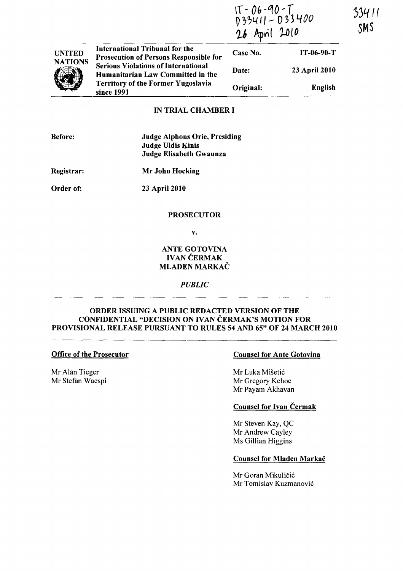|                | International Tribunal for the<br><b>Prosecution of Persons Responsible for</b><br><b>Serious Violations of International</b><br>Humanitarian Law Committed in the<br><b>Territory of the Former Yugoslavia</b><br>since 1991 | IT - 06-90-T<br>D33411 - D33400<br>26 April 2010 |                |
|----------------|-------------------------------------------------------------------------------------------------------------------------------------------------------------------------------------------------------------------------------|--------------------------------------------------|----------------|
| <b>UNITED</b>  |                                                                                                                                                                                                                               | Case No.                                         | $IT-06-90-T$   |
| <b>NATIONS</b> |                                                                                                                                                                                                                               | Date:                                            | 23 April 2010  |
|                |                                                                                                                                                                                                                               | Original:                                        | <b>English</b> |

### IN TRIAL CHAMBER I

Judge Alphons Orie, Presiding Judge Uldis Kinis Judge Elisabeth Gwaunza

Registrar: Mr John Hocking

Order of:

23 April 2010

#### PROSECUTOR

v.

## ANTE GOTOVINA **IVAN ČERMAK** MLADEN MARKAC

### *PUBLIC*

### ORDER ISSUING A PUBLIC REDACTED VERSION OF THE CONFIDENTIAL "DECISION ON IVAN ČERMAK'S MOTION FOR PROVISIONAL RELEASE PURSUANT TO RULES 54 AND 65" OF 24 MARCH 2010

#### Office of the Prosecutor

Mr Alan Tieger Mr Stefan Waespi

#### Counsel for Ante Gotovina

Mr Luka Misetic Mr Gregory Kehoe Mr Payam Akhavan

## Counsel for Ivan Cermak

Mr Steven Kay, QC Mr Andrew Cayley Ms Gillian Higgins

### Counsel for Mladen Markač

Mr Goran Mikuličić Mr Tomislav Kuzmanovic ')')/-111 SMS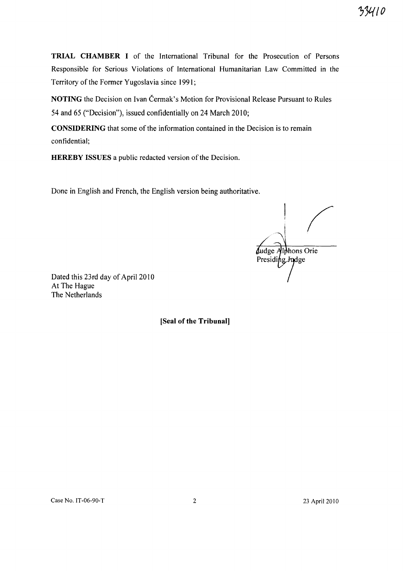TRIAL CHAMBER I of the International Tribunal for the Prosecution of Persons

Responsible for Serious Violations of International Humanitarian Law Committed in the Territory of the Former Yugoslavia since 1991;

NOTING the Decision on Ivan Čermak's Motion for Provisional Release Pursuant to Rules 54 and 65 ("Decision"), issued confidentially on 24 March 2010;

CONSIDERING that some of the information contained in the Decision is to remain confidential;

HEREBY ISSUES a public redacted version of the Decision.

Done in English and French, the English version being authoritative.

Judge Alphons Orie<br>Presiding Judge

7')l{IO

Dated this 23rd day of April 2010 At The Hague The Netherlands

[Seal of the **Tribunal]**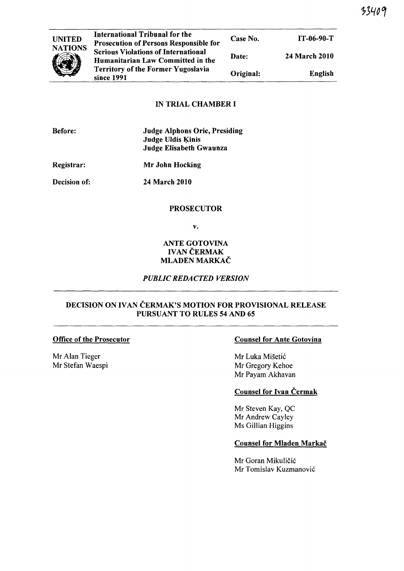| UNITED         |   |
|----------------|---|
| <b>NATIONS</b> | I |
|                | Ģ |
|                | ı |
|                |   |
|                |   |

| <b>International Tribunal for the</b><br><b>Prosecution of Persons Responsible for</b> | Case No.  | $IT-06-90-T$         |
|----------------------------------------------------------------------------------------|-----------|----------------------|
| <b>Serious Violations of International</b><br>Humanitarian Law Committed in the        | Date:     | <b>24 March 2010</b> |
| <b>Territory of the Former Yugoslavia</b><br>since 1991                                | Original: | English              |

## IN TRIAL CHAMBER I

| <b>Before:</b> | <b>Judge Alphons Orie, Presiding</b> |
|----------------|--------------------------------------|
|                | Judge Uldis Kinis                    |
|                | Judge Elisabeth Gwaunza              |

Registrar: Mr John Hocking

Decision of:

24 March 2010

## PROSECUTOR

v.

## ANTE GOTOVINA **IVAN ČERMAK** MLADEN MARKAČ

# *PUBLIC REDACTED VERSION*

## DECISION ON IVAN ČERMAK'S MOTION FOR PROVISIONAL RELEASE PURSUANT TO RULES 54 AND 65

### Office of the Prosecutor

Mr Alan Tieger Mr Stefan Waespi

## Counsel for Ante Gotovina

Mr Luka Mišetić Mr Gregory Kehoe Mr Payam Akhavan

# Counsel for Ivan Čermak

Mr Steven Kay, QC Mr Andrew Cayley Ms Gillian Higgins

## Counsel for Mladen Markač

Mr Goran Mikuličić Mr Tomislav Kuzmanovic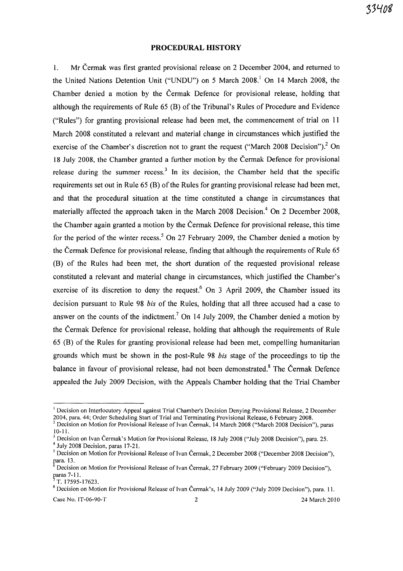### **PROCEDURAL HISTORY**

1. Mr Cermak was first granted provisional release on 2 December 2004, and returned to the United Nations Detention Unit ("UNDU") on 5 March 2008.<sup>1</sup> On 14 March 2008, the Chamber denied a motion by the Cermak Defence for provisional release, holding that although the requirements of Rule 65 (B) of the Tribunal's Rules of Procedure and Evidence ("Rules") for granting provisional release had been met, the commencement of trial on 11 March 2008 constituted a relevant and material change in circumstances which justified the exercise of the Chamber's discretion not to grant the request ("March 2008 Decision").<sup>2</sup> On 18 July 2008, the Chamber granted a further motion by the Cermak Defence for provisional release during the summer recess.<sup>3</sup> In its decision, the Chamber held that the specific requirements set out in Rule 65 (B) of the Rules for granting provisional release had been met, and that the procedural situation at the time constituted a change in circumstances that materially affected the approach taken in the March 2008 Decision.<sup>4</sup> On 2 December 2008, the Chamber again granted a motion by the Cermak Defence for provisional release, this time for the period of the winter recess.<sup>5</sup> On 27 February 2009, the Chamber denied a motion by the Cermak Defence for provisional release, finding that although the requirements of Rule 65 (B) of the Rules had been met, the short duration of the requested provisional release constituted a relevant and material change in circumstances, which justified the Chamber's exercise of its discretion to deny the request.<sup>6</sup> On 3 April 2009, the Chamber issued its decision pursuant to Rule 98 *his* of the Rules, holding that all three accused had a case to answer on the counts of the indictment.<sup>7</sup> On 14 July 2009, the Chamber denied a motion by the Cermak Defence for provisional release, holding that although the requirements of Rule 65 (B) of the Rules for granting provisional release had been met, compelling humanitarian grounds which must be shown in the post-Rule 98 *his* stage of the proceedings to tip the balance in favour of provisional release, had not been demonstrated.<sup>8</sup> The Čermak Defence appealed the July 2009 Decision, with the Appeals Chamber holding that the Trial Chamber

 $<sup>1</sup>$  Decision on Interlocutory Appeal against Trial Chamber's Decision Denying Provisional Release, 2 December</sup> 2004, para. 44; Order Scheduling Start of Trial and Terminating Provisional Release, 6 February 2008.

 $2$  Decision on Motion for Provisional Release of Ivan Čermak, 14 March 2008 ("March 2008 Decision"), paras 10-11.

<sup>&</sup>lt;sup>3</sup> Decision on Ivan Čermak's Motion for Provisional Release, 18 July 2008 ("July 2008 Decision"), para. 25.

<sup>4</sup> July 2008 Decision, paras 17-21.

<sup>&</sup>lt;sup>5</sup> Decision on Motion for Provisional Release of Ivan Čermak, 2 December 2008 ("December 2008 Decision"), para. 13.

<sup>6</sup> Decision on Motion for Provisional Release of Ivan Cermak, 27 February 2009 ("February 2009 Decision"),  $_{7}$  paras 7-11.

<sup>7</sup>T. 17595-17623.

<sup>&</sup>lt;sup>8</sup> Decision on Motion for Provisional Release of Ivan Čermak's, 14 July 2009 ("July 2009 Decision"), para. 11.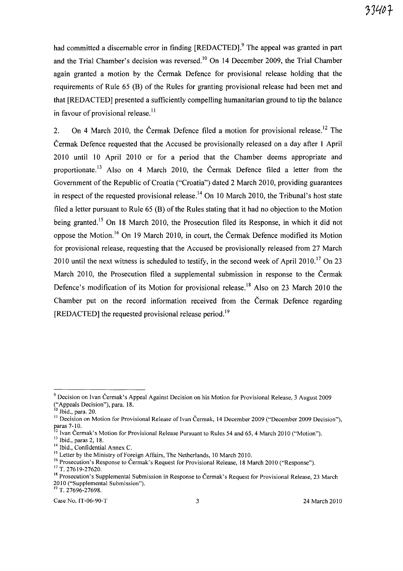had committed a discernable error in finding [REDACTED].<sup>9</sup> The appeal was granted in part and the Trial Chamber's decision was reversed.<sup>10</sup> On 14 December 2009, the Trial Chamber again granted a motion by the Cermak Defence for provisional release holding that the requirements of Rule 65 (B) of the Rules for granting provisional release had been met and that [REDACTED] presented a sufficiently compelling humanitarian ground to tip the balance in favour of provisional release.<sup> $11$ </sup>

2. On 4 March 2010, the Čermak Defence filed a motion for provisional release.<sup>12</sup> The Cermak Defence requested that the Accused be provisionally released on a day after 1 April 2010 until 10 April 2010 or for a period that the Chamber deems appropriate and proportionate.<sup>13</sup> Also on 4 March 2010, the Čermak Defence filed a letter from the Government of the Republic of Croatia ("Croatia") dated 2 March 2010, providing guarantees in respect of the requested provisional release.<sup>14</sup> On 10 March 2010, the Tribunal's host state filed a letter pursuant to Rule 65 (B) of the Rules stating that it had no objection to the Motion being granted.<sup>15</sup> On 18 March 2010, the Prosecution filed its Response, in which it did not oppose the Motion. 16 On 19 March 2010, in court, the Cermak Defence modified its Motion for provisional release, requesting that the Accused be provisionally released from 27 March 2010 until the next witness is scheduled to testify, in the second week of April 2010.<sup>17</sup> On 23 March 2010, the Prosecution filed a supplemental submission in response to the Čermak Defence's modification of its Motion for provisional release.<sup>18</sup> Also on 23 March 2010 the Chamber put on the record information received from the Cermak Defence regarding [REDACTED] the requested provisional release period.<sup>19</sup>

 $^{19}$  T. 27696-27698.

<sup>9</sup> Decision on Ivan Cermak's Appeal Against Decision on his Motion for Provisional Release, 3 August 2009 ("Appeals Decision"), para. 18.

 $10$ Ibid., para. 20.

<sup>&</sup>lt;sup>11</sup> Decision on Motion for Provisional Release of Ivan Čermak, 14 December 2009 ("December 2009 Decision"), paras 7-10.

 $\frac{12}{12}$  Ivan Čermak's Motion for Provisional Release Pursuant to Rules 54 and 65, 4 March 2010 ("Motion").

<sup>13</sup> Ibid., paras 2, 18.

<sup>&</sup>lt;sup>14</sup> Ibid., Confidential Annex C.

<sup>&</sup>lt;sup>15</sup> Letter by the Ministry of Foreign Affairs, The Netherlands, 10 March 2010.

<sup>&</sup>lt;sup>16</sup> Prosecution's Response to Čermak's Request for Provisional Release, 18 March 2010 ("Response"). <sup>17</sup> T. 27619-27620.

<sup>&</sup>lt;sup>18</sup> Prosecution's Supplemental Submission in Response to Čermak's Request for Provisional Release, 23 March 2010 ("Supplemental Submission").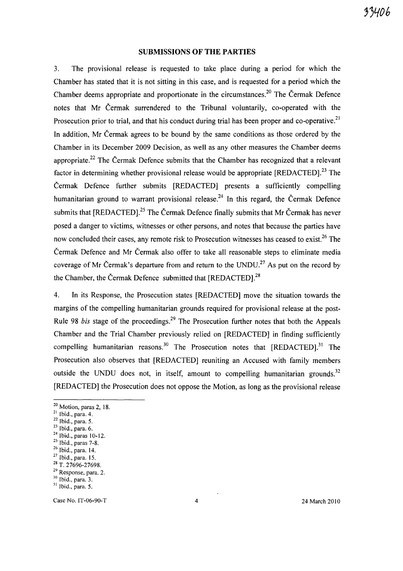#### **SUBMISSIONS OF THE PARTIES**

3. The provisional release is requested to take place during a period for which the Chamber has stated that it is not sitting in this case, and is requested for a period which the Chamber deems appropriate and proportionate in the circumstances.<sup>20</sup> The Cermak Defence notes that Mr Cermak surrendered to the Tribunal voluntarily, co-operated with the Prosecution prior to trial, and that his conduct during trial has been proper and co-operative.<sup>21</sup> In addition, Mr Čermak agrees to be bound by the same conditions as those ordered by the Chamber in its December 2009 Decision, as well as any other measures the Chamber deems appropriate.<sup>22</sup> The Cermak Defence submits that the Chamber has recognized that a relevant factor in determining whether provisional release would be appropriate [REDACTED].<sup>23</sup> The Cermak Defence further submits [REDACTED] presents a sufficiently compelling humanitarian ground to warrant provisional release.<sup>24</sup> In this regard, the Čermak Defence submits that [REDACTED].<sup>25</sup> The Čermak Defence finally submits that Mr Čermak has never posed a danger to victims, witnesses or other persons, and notes that because the parties have now concluded their cases, any remote risk to Prosecution witnesses has ceased to exist.<sup>26</sup> The Cermak Defence and Mr Cermak also offer to take all reasonable steps to eliminate media coverage of Mr Čermak's departure from and return to the UNDU.<sup>27</sup> As put on the record by the Chamber, the Čermak Defence submitted that [REDACTED].<sup>28</sup>

4. In its Response, the Prosecution states [REDACTED] move the situation towards the margins of the compelling humanitarian grounds required for provisional release at the post-Rule 98 *bis* stage of the proceedings.<sup>29</sup> The Prosecution further notes that both the Appeals Chamber and the Trial Chamber previously relied on [REDACTED] in finding sufficiently compelling humanitarian reasons.<sup>30</sup> The Prosecution notes that  $[REDACTER]$ .<sup>31</sup> The Prosecution also observes that [REDACTED] reuniting an Accused with family members outside the UNDU does not, in itself, amount to compelling humanitarian grounds.<sup>32</sup> [REDACTED] the Prosecution does not oppose the Motion, as long as the provisional release

<sup>&</sup>lt;sup>20</sup> Motion, paras 2, 18.

 $21$  Ibid., para. 4.

 $22$  Ibid., para. 5.

<sup>23</sup> Ibid., para. 6.

<sup>24</sup> Ibid., paras 10-12.

<sup>25</sup> Ibid., paras 7-8.

<sup>26</sup> Ibid., para. 14.

<sup>27</sup> Ibid., para. 15.

<sup>28</sup> T. 27696-27698.

<sup>29</sup> Response, para. 2.

<sup>30</sup> Ibid., para. 3.

<sup>&</sup>lt;sup>31</sup> Ibid., para. 5.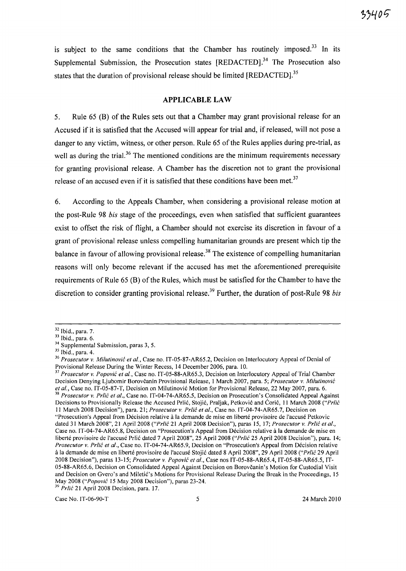is subject to the same conditions that the Chamber has routinely imposed. $33$  In its Supplemental Submission, the Prosecution states [REDACTED].<sup>34</sup> The Prosecution also states that the duration of provisional release should be limited [REDACTED].<sup>35</sup>

#### **APPLICABLE LAW**

5. Rule 65 CB) of the Rules sets out that a Chamber may grant provisional release for an Accused if it is satisfied that the Accused will appear for trial and, if released, will not pose a danger to any victim, witness, or other person. Rule 65 of the Rules applies during pre-trial, as well as during the trial.<sup>36</sup> The mentioned conditions are the minimum requirements necessary for granting provisional release. A Chamber has the discretion not to grant the provisional release of an accused even if it is satisfied that these conditions have been met.<sup>37</sup>

6. According to the Appeals Chamber, when considering a provisional release motion at the post-Rule 98 *his* stage of the proceedings, even when satisfied that sufficient guarantees exist to offset the risk of flight, a Chamber should not exercise its discretion in favour of a grant of provisional release unless compelling humanitarian grounds are present which tip the balance in favour of allowing provisional release.<sup>38</sup> The existence of compelling humanitarian reasons will only become relevant if the accused has met the aforementioned prerequisite requirements of Rule 65 (B) of the Rules, which must be satisfied for the Chamber to have the discretion to consider granting provisional release.<sup>39</sup> Further, the duration of post-Rule 98 *his* 

*39 Prlic* 21 April 2008 Decision, para. 17.

Case No. IT-06-90-T 5 24 March 2010

<sup>32</sup> Ibid., para. 7.

 $33$  Ibid., para. 6.

<sup>&</sup>lt;sup>34</sup> Supplemental Submission, paras 3, 5.

<sup>35</sup> Ibid., para. 4.

*<sup>36</sup> Prosecutor* v. *Milutinovic et aI.,* Case no. IT-OS-S7-AR6S.2, Decision on Interlocutory Appeal of Denial of Provisional Release During the Winter Recess, 14 December 2006, para. 10.

*<sup>37</sup> Prosecutor* v. *Popovic et aI.,* Case no. IT-OS-SS-AR65.3, Decision on Interlocutory Appeal of Trial Chamber Decision Denying Ljubomir Borovcanin Provisional Release, 1 March 2007, para. 5; *Prosecutor* v. *Milutinovic*  et al., Case no. IT-05-87-T, Decision on Milutinović Motion for Provisional Release, 22 May 2007, para. 6. <sup>38</sup> Prosecutor v. Prlić et al., Case no. IT-04-74-AR65.5, Decision on Prosecution's Consolidated Appeal Against Decisions to Provisionally Release the Accused Prlić, Stojić, Praljak, Petković and Ćorić, 11 March 2008 *("Prlić* 11 March 200S Decision"), para. 21; *Prosecutor* v. *Prlic et al.,* Case no. IT-04-74-AR6S.7, Decision on "Prosecution's Appeal from Décision relative à la demande de mise en liberté provisoire de l'accusé Petkovic dated 31 March 200S", 21 April 200S *("Prlit* 21 April 200S Decision"), paras IS, 17; *Prosecutor* v. *Pr/ic et al.,*  Case no. IT-04-74-AR6S.S, Decision on "Prosecution's Appeal from Decision relative a la demande de mise en liberté provisoire de l'accusé Prlić dated 7 April 2008", 25 April 2008 *("Prlić* 25 April 2008 Decision"), para. 14; *Prosecutor* v. *Prlic et al.,* Case no. IT-04-74-AR6S.9, Decision on "Prosecution's Appeal from Decision relative a la demande de mise en Iiberte provisoire de I'accuse Stojic dated S April 200S", 29 April 200S *("Prlic* 29 April 200S Decision"), paras 13-15; *Prosecutor* v. *Popovic et al.,* Case nos IT-05-SS-AR6S.4, IT-05-SS-AR6S.5, IT-OS-SS-AR6S.6, Decision on Consolidated Appeal Against Decision on Borovcanin's Motion for Custodial Visit and Decision on Gvero's and Miletić's Motions for Provisional Release During the Break in the Proceedings, 15 May 2008 *("Popovic* IS May 2008 Decision"), paras 23-24.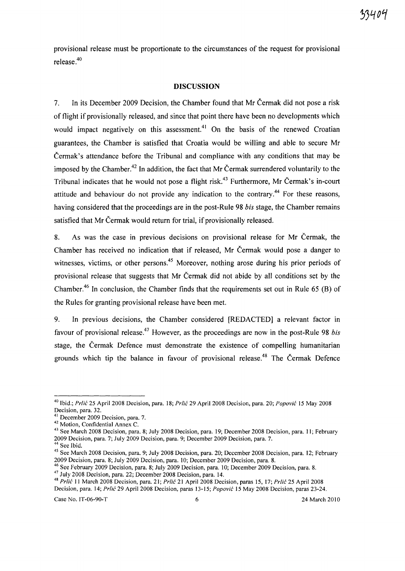provisional release must be proportionate to the circumstances of the request for provisional release.4o

#### **DISCUSSION**

7. In its December 2009 Decision, the Chamber found that Mr Cermak did not pose a risk of flight if provisionally released, and since that point there have been no developments which would impact negatively on this assessment.<sup>41</sup> On the basis of the renewed Croatian guarantees, the Chamber is satisfied that Croatia would be willing and able to secure Mr Cermak's attendance before the Tribunal and compliance with any conditions that may be imposed by the Chamber.<sup>42</sup> In addition, the fact that Mr Čermak surrendered voluntarily to the Tribunal indicates that he would not pose a flight risk.<sup>43</sup> Furthermore, Mr Čermak's in-court attitude and behaviour do not provide any indication to the contrary.<sup>44</sup> For these reasons, having considered that the proceedings are in the post-Rule 98 *his* stage, the Chamber remains satisfied that Mr Cermak would return for trial, if provisionally released.

8. As was the case in previous decisions on provisional release for Mr Cermak, the Chamber has received no indication that if released, Mr Cermak would pose a danger to witnesses, victims, or other persons.<sup>45</sup> Moreover, nothing arose during his prior periods of provisional release that suggests that Mr Cermak did not abide by all conditions set by the Chamber.<sup>46</sup> In conclusion, the Chamber finds that the requirements set out in Rule 65 (B) of the Rules for granting provisional release have been met.

9. In previous decisions, the Chamber considered [REDACTED] a relevant factor in favour of provisional release.<sup>47</sup> However, as the proceedings are now in the post-Rule 98 *bis* stage, the Cermak Defence must demonstrate the existence of compelling humanitarian grounds which tip the balance in favour of provisional release.<sup>48</sup> The Čermak Defence

Case No. IT-06-90-T 6 24 March 2010

<sup>&</sup>lt;sup>40</sup> Ibid.; Prlić 25 April 2008 Decision, para. 18; Prlić 29 April 2008 Decision, para. 20; Popović 15 May 2008 Decision, para. 32.

<sup>&</sup>lt;sup>41</sup> December 2009 Decision, para. 7.

<sup>42</sup> Motion, Confidential Annex C.

<sup>&</sup>lt;sup>43</sup> See March 2008 Decision, para. 8; July 2008 Decision, para. 19; December 2008 Decision, para. 11; February 2009 Decision, para. 7; July 2009 Decision, para. 9; December 2009 Decision, para. 7.

 $<sup>4</sup>$  See Ibid.</sup>

<sup>45</sup> See March 2008 Decision, para. 9; July 2008 Decision, para. 20; December 2008 Decision, para. 12; February 2009 Decision, para. 8; July 2009 Decision, para. 10; December 2009 Decision, para. 8.

<sup>46</sup> See February 2009 Decision, para. 8; July 2009 Decision, para. 10; December 2009 Decision, para. 8.

<sup>47</sup>July 2008 Decision, para. 22; December 2008 Decision, para. 14.

<sup>&</sup>lt;sup>48</sup> Prlić 11 March 2008 Decision, para. 21; Prlić 21 April 2008 Decision, paras 15, 17; Prlić 25 April 2008 Decision, para. 14; Prlić 29 April 2008 Decision, paras 13-15; Popović 15 May 2008 Decision, paras 23-24.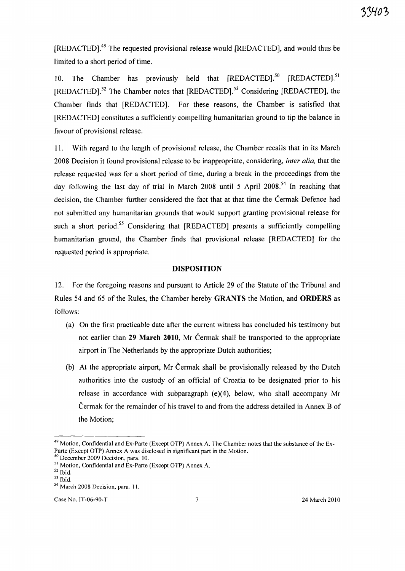[REDACTED].49 The requested provisional release would [REDACTED], and would thus be limited to a short period of time.

10. The Chamber has previously held that [REDACTED].<sup>50</sup> [REDACTED].<sup>51</sup>  $[REDACTED]$ .<sup>52</sup> The Chamber notes that  $[REDACTED]$ .<sup>53</sup> Considering  $[REDACTED]$ , the Chamber finds that [REDACTED]. For these reasons, the Chamber is satisfied that [REDACTED] constitutes a sufficiently compelling humanitarian ground to tip the balance in favour of provisional release.

11. With regard to the length of provisional release, the Chamber recalls that in its March 2008 Decision it found provisional release to be inappropriate, considering, *inter alia,* that the release requested was for a short period of time, during a break in the proceedings from the day following the last day of trial in March 2008 until 5 April 2008.<sup>54</sup> In reaching that decision, the Chamber further considered the fact that at that time the Čermak Defence had not submitted any humanitarian grounds that would support granting provisional release for such a short period.<sup>55</sup> Considering that [REDACTED] presents a sufficiently compelling humanitarian ground, the Chamber finds that provisional release [REDACTED] for the requested period is appropriate.

#### DISPOSITION

12. For the foregoing reasons and pursuant to Article 29 of the Statute of the Tribunal and Rules 54 and 65 of the Rules, the Chamber hereby GRANTS the Motion, and ORDERS as follows:

- (a) On the first practicable date after the current witness has concluded his testimony but not earlier than 29 March 2010, Mr Cermak shall be transported to the appropriate airport in The Netherlands by the appropriate Dutch authorities;
- (b) At the appropriate airport, Mr Cermak shall be provisionally released by the Dutch authorities into the custody of an official of Croatia to be designated prior to his release in accordance with subparagraph (e)(4), below, who shall accompany Mr Cermak for the remainder of his travel to and from the address detailed in Annex B of the Motion;

Case No. IT-06-90-T 7 24 March 2010

 $49$  Motion, Confidential and Ex-Parte (Except OTP) Annex A. The Chamber notes that the substance of the Ex-Parte (Except OTP) Annex A was disclosed in significant part in the Motion.

<sup>&</sup>lt;sup>50</sup> December 2009 Decision, para. 10.

<sup>&</sup>lt;sup>51</sup> Motion, Confidential and Ex-Parte (Except OTP) Annex A.

<sup>52</sup> Ibid.

 $^{\rm 53}$  Ibid.

<sup>54</sup> March 2008 Decision, para. 11.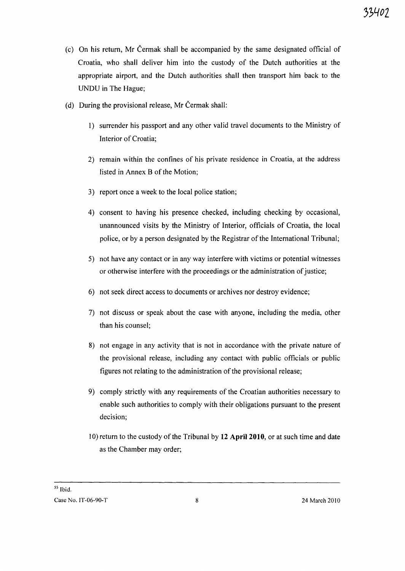- (c) On his return, Mr Cermak shall be accompanied by the same designated official of Croatia, who shall deliver him into the custody of the Dutch authorities at the appropriate airport, and the Dutch authorities shall then transport him back to the UNDU in The Hague;
- (d) During the provisional release, Mr Cermak shall:
	- 1) surrender his passport and any other valid travel documents to the Ministry of Interior of Croatia;
	- 2) remain within the confines of his private residence in Croatia, at the address listed in Annex B of the Motion;
	- 3) report once a week to the local police station;
	- 4) consent to having his presence checked, including checking by occasional, unannounced visits by the Ministry of Interior, officials of Croatia, the local police, or by a person designated by the Registrar of the International Tribunal;
	- 5) not have any contact or in any way interfere with victims or potential witnesses or otherwise interfere with the proceedings or the administration of justice;
	- 6) not seek direct access to documents or archives nor destroy evidence;
	- 7) not discuss or speak about the case with anyone, including the media, other than his counsel;
	- 8) not engage in any activity that is not in accordance with the private nature of the provisional release, including any contact with public officials or public figures not relating to the administration of the provisional release;
	- 9) comply strictly with any requirements of the Croatian authorities necessary to enable such authorities to comply with their obligations pursuant to the present decision;
	- 10) return to the custody of the Tribunal by **12** April 2010, or at such time and date as the Chamber may order;

55 Ibid.

Case No. IT-06-90-T 8 24 March 2010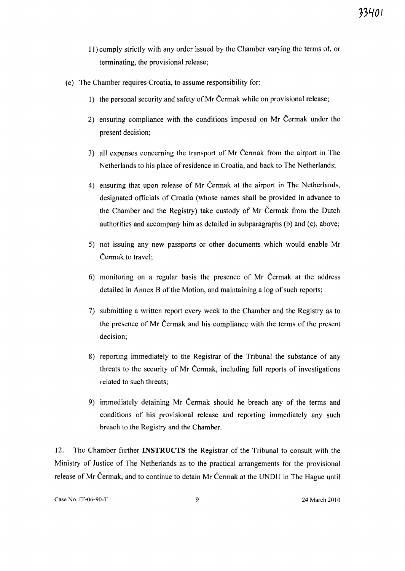- 11) comply strictly with any order issued by the Chamber varying the terms of, or terminating, the provisional release;
- (e) The Chamber requires Croatia, to assume responsibility for:
	- 1) the personal security and safety of Mr Čermak while on provisional release;
	- 2) ensuring compliance with the conditions imposed on Mr Cermak under the present decision;
	- 3) all expenses concerning the transport of Mr Cermak from the airport in The Netherlands to his place of residence in Croatia, and back to The Netherlands;
	- 4) ensuring that upon release of Mr Cermak at the airport in The Netherlands, designated officials of Croatia (whose names shall be provided in advance to the Chamber and the Registry) take custody of Mr Cermak from the Dutch authorities and accompany him as detailed in subparagraphs (b) and (c), above;
	- 5) not issuing any new passports or other documents which would enable Mr Cermak to travel;
	- 6) monitoring on a regular basis the presence of Mr Cermak at the address detailed in Annex B of the Motion, and maintaining a log of such reports;
	- 7) submitting a written report every week to the Chamber and the Registry as to the presence of Mr Cermak and his compliance with the terms of the present decision;
	- 8) reporting immediately to the Registrar of the Tribunal the substance of any threats to the security of Mr Cermak, including full reports of investigations related to such threats;
	- 9) immediately detaining Mr Cermak should he breach any of the terms and conditions of his provisional release and reporting immediately any such breach to the Registry and the Chamber.

12. The Chamber further **INSTRUCTS** the Registrar of the Tribunal to consult with the Ministry of Justice of The Netherlands as to the practical arrangements for the provisional release of Mr Cermak, and to continue to detain Mr Cermak at the UNDU in The Hague until